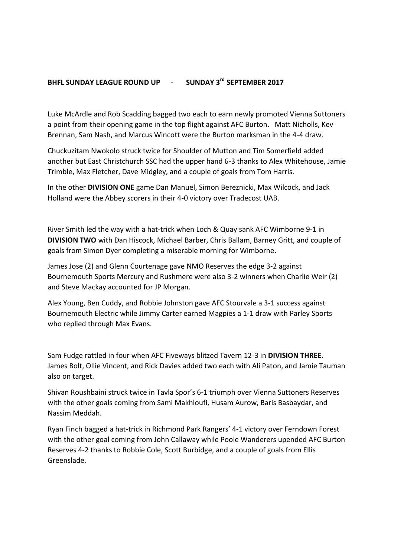## **BHFL SUNDAY LEAGUE ROUND UP - SUNDAY 3rd SEPTEMBER 2017**

Luke McArdle and Rob Scadding bagged two each to earn newly promoted Vienna Suttoners a point from their opening game in the top flight against AFC Burton. Matt Nicholls, Kev Brennan, Sam Nash, and Marcus Wincott were the Burton marksman in the 4-4 draw.

Chuckuzitam Nwokolo struck twice for Shoulder of Mutton and Tim Somerfield added another but East Christchurch SSC had the upper hand 6-3 thanks to Alex Whitehouse, Jamie Trimble, Max Fletcher, Dave Midgley, and a couple of goals from Tom Harris.

In the other **DIVISION ONE** game Dan Manuel, Simon Bereznicki, Max Wilcock, and Jack Holland were the Abbey scorers in their 4-0 victory over Tradecost UAB.

River Smith led the way with a hat-trick when Loch & Quay sank AFC Wimborne 9-1 in **DIVISION TWO** with Dan Hiscock, Michael Barber, Chris Ballam, Barney Gritt, and couple of goals from Simon Dyer completing a miserable morning for Wimborne.

James Jose (2) and Glenn Courtenage gave NMO Reserves the edge 3-2 against Bournemouth Sports Mercury and Rushmere were also 3-2 winners when Charlie Weir (2) and Steve Mackay accounted for JP Morgan.

Alex Young, Ben Cuddy, and Robbie Johnston gave AFC Stourvale a 3-1 success against Bournemouth Electric while Jimmy Carter earned Magpies a 1-1 draw with Parley Sports who replied through Max Evans.

Sam Fudge rattled in four when AFC Fiveways blitzed Tavern 12-3 in **DIVISION THREE**. James Bolt, Ollie Vincent, and Rick Davies added two each with Ali Paton, and Jamie Tauman also on target.

Shivan Roushbaini struck twice in Tavla Spor's 6-1 triumph over Vienna Suttoners Reserves with the other goals coming from Sami Makhloufi, Husam Aurow, Baris Basbaydar, and Nassim Meddah.

Ryan Finch bagged a hat-trick in Richmond Park Rangers' 4-1 victory over Ferndown Forest with the other goal coming from John Callaway while Poole Wanderers upended AFC Burton Reserves 4-2 thanks to Robbie Cole, Scott Burbidge, and a couple of goals from Ellis Greenslade.